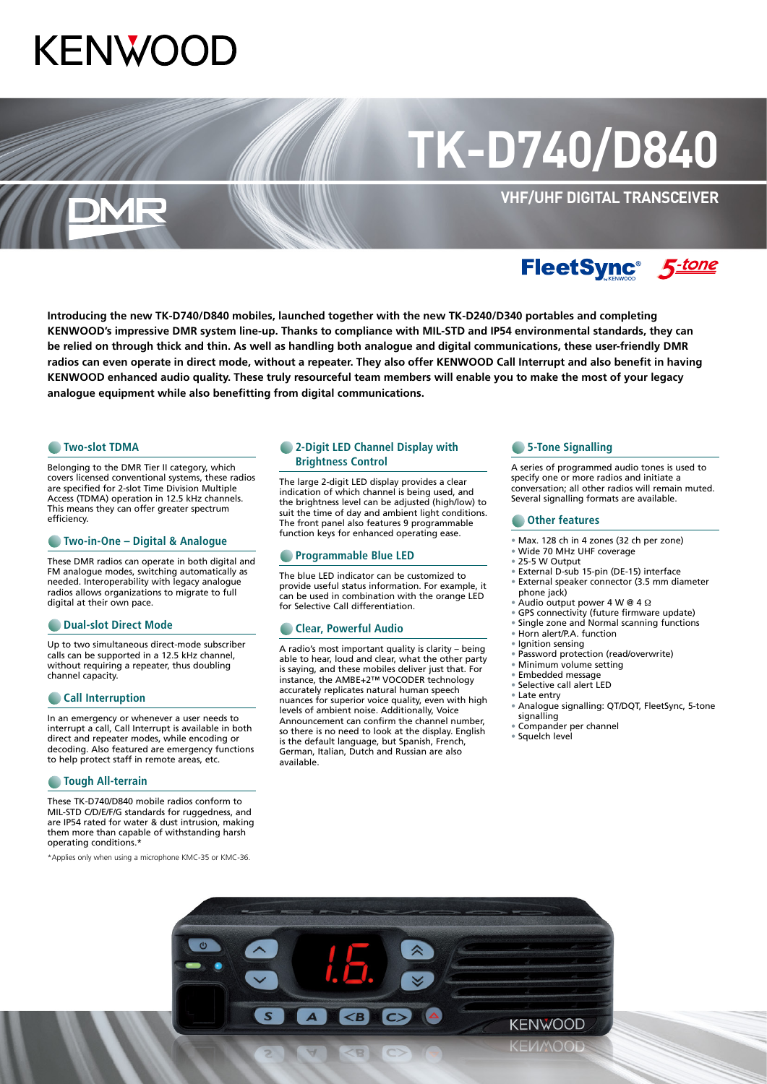## **KENWO**

# **TK-D740/D840**

**VHF/UHF DIGITAL TRANSCEIVER**

### FleetSync<sup>®</sup> 5-tone

**Introducing the new TK-D740/D840 mobiles, launched together with the new TK-D240/D340 portables and completing KENWOOD's impressive DMR system line-up. Thanks to compliance with MIL-STD and IP54 environmental standards, they can be relied on through thick and thin. As well as handling both analogue and digital communications, these user-friendly DMR radios can even operate in direct mode, without a repeater. They also offer KENWOOD Call Interrupt and also benefit in having KENWOOD enhanced audio quality. These truly resourceful team members will enable you to make the most of your legacy analogue equipment while also benefitting from digital communications.**

#### **C** Two-slot TDMA

Belonging to the DMR Tier II category, which covers licensed conventional systems, these radios are specified for 2-slot Time Division Multiple Access (TDMA) operation in 12.5 kHz channels. This means they can offer greater spectrum efficiency.

#### **Two-in-One – Digital & Analogue**

These DMR radios can operate in both digital and FM analogue modes, switching automatically as needed. Interoperability with legacy analogue radios allows organizations to migrate to full digital at their own pace.

#### **C** Dual-slot Direct Mode

Up to two simultaneous direct-mode subscriber calls can be supported in a 12.5 kHz channel, without requiring a repeater, thus doubling channel capacity.

#### **Call Interruption**

In an emergency or whenever a user needs to interrupt a call, Call Interrupt is available in both direct and repeater modes, while encoding or decoding. Also featured are emergency functions to help protect staff in remote areas, etc.

#### **C** Tough All-terrain

These TK-D740/D840 mobile radios conform to MIL-STD C/D/E/F/G standards for ruggedness, and are IP54 rated for water & dust intrusion, making them more than capable of withstanding harsh operating conditions.\*

\*Applies only when using a microphone KMC-35 or KMC-36.

#### **2-Digit LED Channel Display with Brightness Control**

The large 2-digit LED display provides a clear indication of which channel is being used, and the brightness level can be adjusted (high/low) to suit the time of day and ambient light conditions. The front panel also features 9 programmable function keys for enhanced operating ease.

#### **<sup>***•***</sup> Programmable Blue LED**

The blue LED indicator can be customized to provide useful status information. For example, it can be used in combination with the orange LED for Selective Call differentiation.

#### **Clear, Powerful Audio**

A radio's most important quality is clarity – being able to hear, loud and clear, what the other party is saying, and these mobiles deliver just that. For instance, the AMBE+2™ VOCODER technology accurately replicates natural human speech nuances for superior voice quality, even with high levels of ambient noise. Additionally, Voice Announcement can confirm the channel number, so there is no need to look at the display. English is the default language, but Spanish, French, German, Italian, Dutch and Russian are also available.

#### **6** 5-Tone Signalling

A series of programmed audio tones is used to specify one or more radios and initiate a conversation; all other radios will remain muted. Several signalling formats are available.

#### **Compared Contracts**

- 
- Max. 128 ch in 4 zones (32 ch per zone) • Wide 70 MHz UHF coverage
- 
- 25-5 W Output
- External D-sub 15-pin (DE-15) interface • External speaker connector (3.5 mm diameter phone jack)
- Audio output power 4 W @ 4 Ω
- GPS connectivity (future firmware update)
- Single zone and Normal scanning functions
- Horn alert/P.A. function
- lanition sensing
- Password protection (read/overwrite)
- Minimum volume setting
- Embedded message • Selective call alert LED
- Late entry
- Analogue signalling: QT/DQT, FleetSync, 5-tone signalling
- Compander per channel
- Squelch level